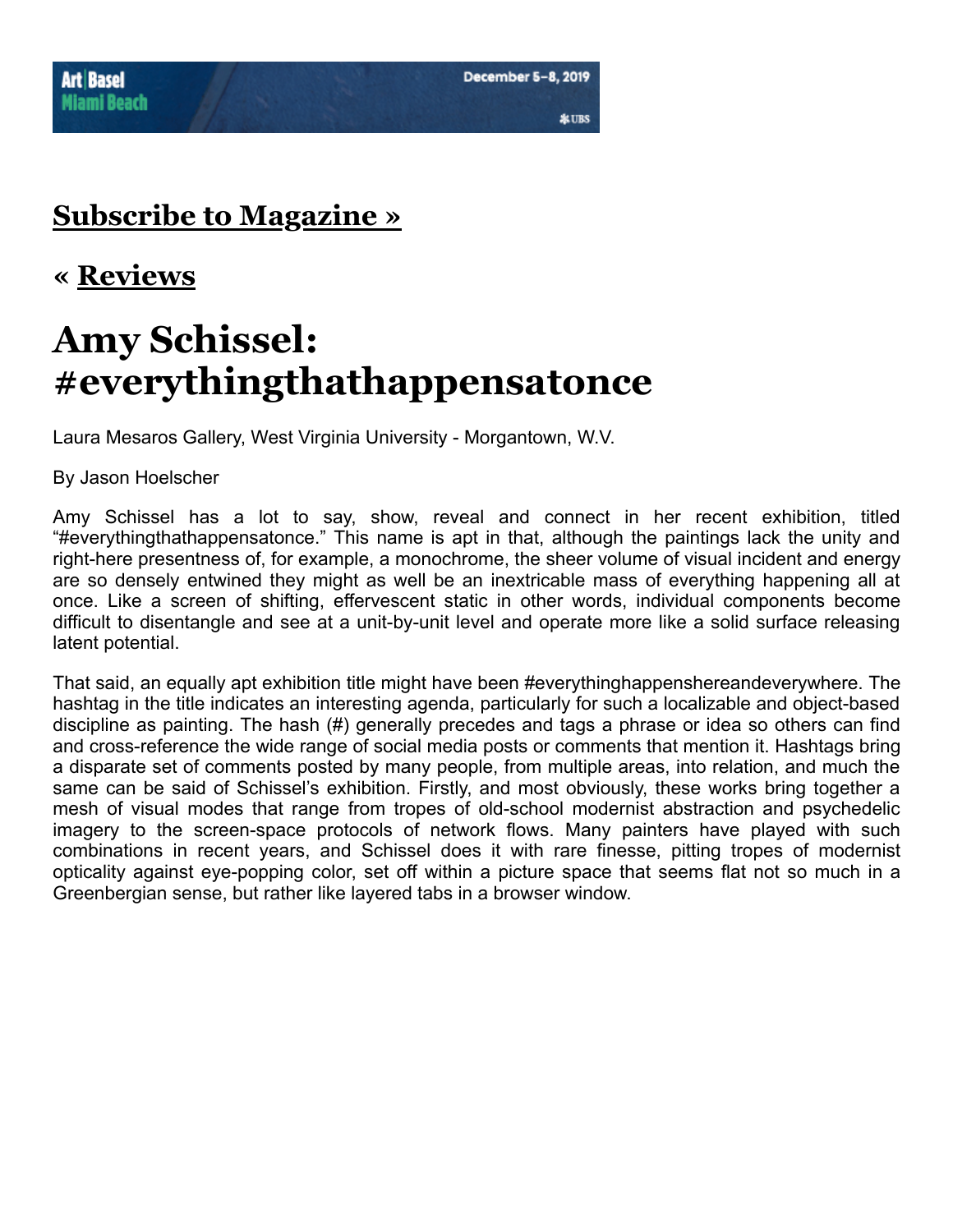### **[Subscribe to Magazine »](http://artpulsemagazine.com/subscribe-to-magazine/)**

#### **« [Reviews](http://artpulsemagazine.com/category/reviews)**

# **Amy Schissel: #everythingthathappensatonce**

Laura Mesaros Gallery, West Virginia University - Morgantown, W.V.

By Jason Hoelscher

Amy Schissel has a lot to say, show, reveal and connect in her recent exhibition, titled "#everythingthathappensatonce." This name is apt in that, although the paintings lack the unity and right-here presentness of, for example, a monochrome, the sheer volume of visual incident and energy are so densely entwined they might as well be an inextricable mass of everything happening all at once. Like a screen of shifting, effervescent static in other words, individual components become difficult to disentangle and see at a unit-by-unit level and operate more like a solid surface releasing latent potential.

That said, an equally apt exhibition title might have been #everythinghappenshereandeverywhere. The hashtag in the title indicates an interesting agenda, particularly for such a localizable and object-based discipline as painting. The hash (#) generally precedes and tags a phrase or idea so others can find and cross-reference the wide range of social media posts or comments that mention it. Hashtags bring a disparate set of comments posted by many people, from multiple areas, into relation, and much the same can be said of Schissel's exhibition. Firstly, and most obviously, these works bring together a mesh of visual modes that range from tropes of old-school modernist abstraction and psychedelic imagery to the screen-space protocols of network flows. Many painters have played with such combinations in recent years, and Schissel does it with rare finesse, pitting tropes of modernist opticality against eye-popping color, set off within a picture space that seems flat not so much in a Greenbergian sense, but rather like layered tabs in a browser window.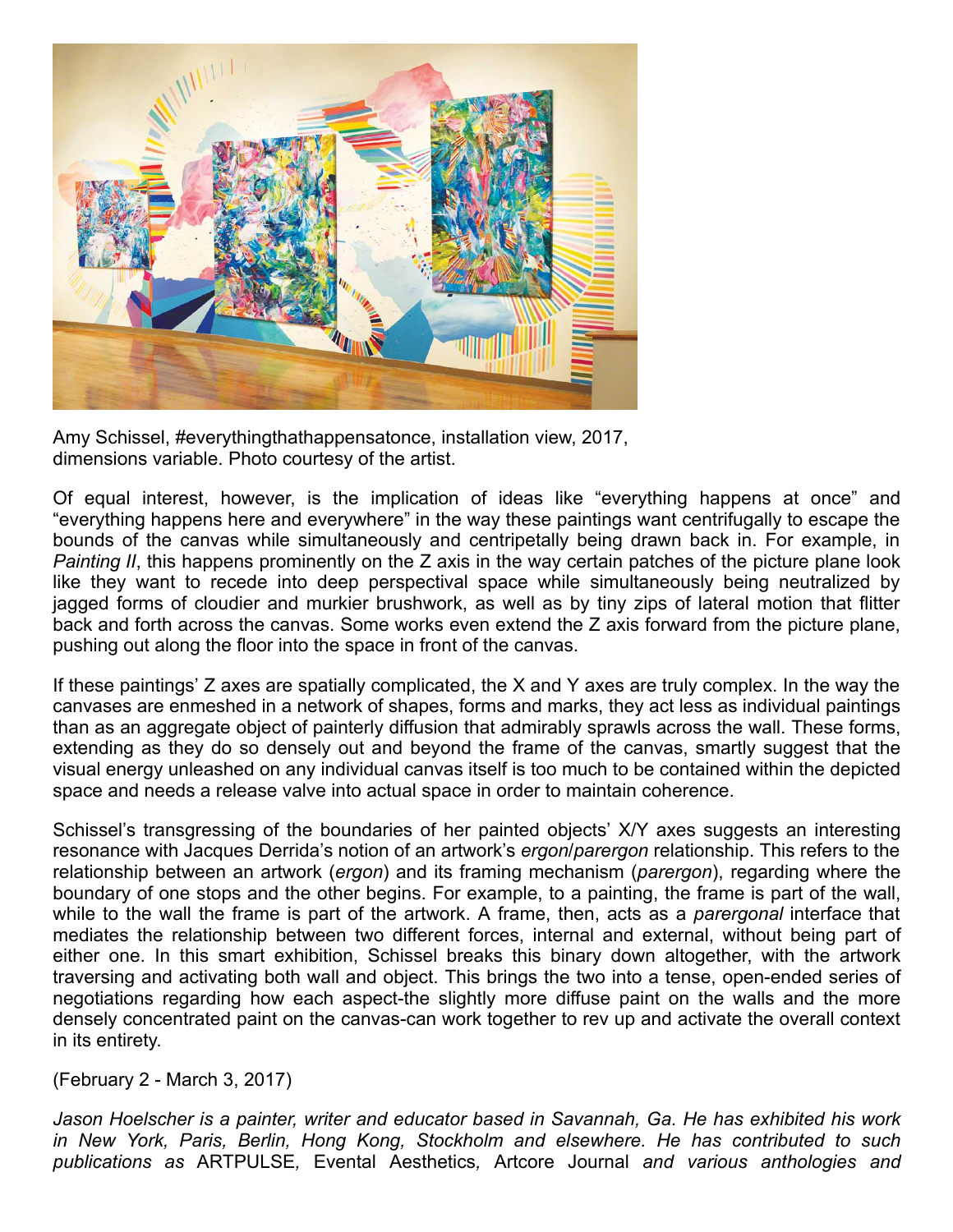

Amy Schissel, #everythingthathappensatonce, installation view, 2017, dimensions variable. Photo courtesy of the artist.

Of equal interest, however, is the implication of ideas like "everything happens at once" and "everything happens here and everywhere" in the way these paintings want centrifugally to escape the bounds of the canvas while simultaneously and centripetally being drawn back in. For example, in *Painting II*, this happens prominently on the Z axis in the way certain patches of the picture plane look like they want to recede into deep perspectival space while simultaneously being neutralized by jagged forms of cloudier and murkier brushwork, as well as by tiny zips of lateral motion that flitter back and forth across the canvas. Some works even extend the Z axis forward from the picture plane, pushing out along the floor into the space in front of the canvas.

If these paintings' Z axes are spatially complicated, the X and Y axes are truly complex. In the way the canvases are enmeshed in a network of shapes, forms and marks, they act less as individual paintings than as an aggregate object of painterly diffusion that admirably sprawls across the wall. These forms, extending as they do so densely out and beyond the frame of the canvas, smartly suggest that the visual energy unleashed on any individual canvas itself is too much to be contained within the depicted space and needs a release valve into actual space in order to maintain coherence.

Schissel's transgressing of the boundaries of her painted objects' X/Y axes suggests an interesting resonance with Jacques Derrida's notion of an artwork's *ergon*/*parergon* relationship. This refers to the relationship between an artwork (*ergon*) and its framing mechanism (*parergon*), regarding where the boundary of one stops and the other begins. For example, to a painting, the frame is part of the wall, while to the wall the frame is part of the artwork. A frame, then, acts as a *parergonal* interface that mediates the relationship between two different forces, internal and external, without being part of either one. In this smart exhibition, Schissel breaks this binary down altogether, with the artwork traversing and activating both wall and object. This brings the two into a tense, open-ended series of negotiations regarding how each aspect-the slightly more diffuse paint on the walls and the more densely concentrated paint on the canvas-can work together to rev up and activate the overall context in its entirety.

(February 2 - March 3, 2017)

*Jason Hoelscher is a painter, writer and educator based in Savannah, Ga. He has exhibited his work in New York, Paris, Berlin, Hong Kong, Stockholm and elsewhere. He has contributed to such publications as* ARTPULSE*,* Evental Aesthetics*,* Artcore Journal *and various anthologies and*